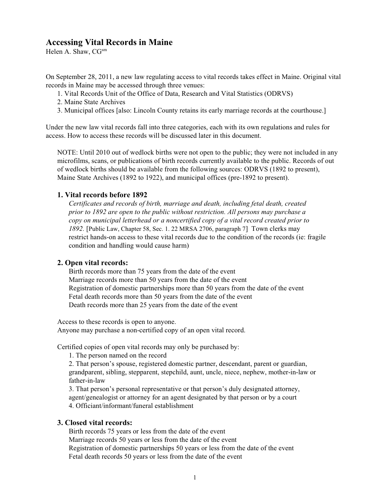# **Accessing Vital Records in Maine**

Helen A. Shaw, CG<sup>sm</sup>

On September 28, 2011, a new law regulating access to vital records takes effect in Maine. Original vital records in Maine may be accessed through three venues:

1. Vital Records Unit of the Office of Data, Research and Vital Statistics (ODRVS)

2. Maine State Archives

3. Municipal offices [also: Lincoln County retains its early marriage records at the courthouse.]

Under the new law vital records fall into three categories, each with its own regulations and rules for access. How to access these records will be discussed later in this document.

NOTE: Until 2010 out of wedlock births were not open to the public; they were not included in any microfilms, scans, or publications of birth records currently available to the public. Records of out of wedlock births should be available from the following sources: ODRVS (1892 to present), Maine State Archives (1892 to 1922), and municipal offices (pre-1892 to present).

## **1. Vital records before 1892**

*Certificates and records of birth, marriage and death, including fetal death, created prior to 1892 are open to the public without restriction. All persons may purchase a copy on municipal letterhead or a noncertified copy of a vital record created prior to 1892.* [Public Law, Chapter 58, Sec. 1. 22 MRSA 2706, paragraph 7] Town clerks may restrict hands-on access to these vital records due to the condition of the records (ie: fragile condition and handling would cause harm)

### **2. Open vital records:**

Birth records more than 75 years from the date of the event Marriage records more than 50 years from the date of the event Registration of domestic partnerships more than 50 years from the date of the event Fetal death records more than 50 years from the date of the event Death records more than 25 years from the date of the event

Access to these records is open to anyone. Anyone may purchase a non-certified copy of an open vital record.

Certified copies of open vital records may only be purchased by:

1. The person named on the record

2. That person's spouse, registered domestic partner, descendant, parent or guardian, grandparent, sibling, stepparent, stepchild, aunt, uncle, niece, nephew, mother-in-law or father-in-law

3. That person's personal representative or that person's duly designated attorney, agent/genealogist or attorney for an agent designated by that person or by a court 4. Officiant/informant/funeral establishment

### **3. Closed vital records:**

Birth records 75 years or less from the date of the event Marriage records 50 years or less from the date of the event Registration of domestic partnerships 50 years or less from the date of the event Fetal death records 50 years or less from the date of the event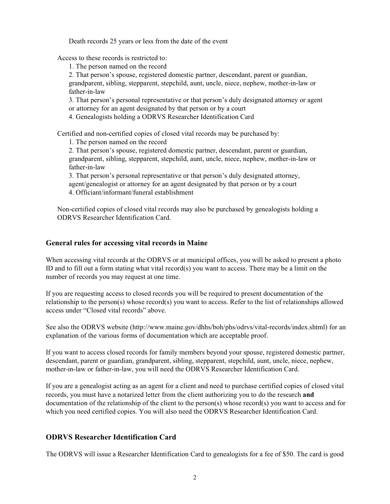Death records 25 years or less from the date of the event

Access to these records is restricted to:

1. The person named on the record

2. That person's spouse, registered domestic partner, descendant, parent or guardian,

grandparent, sibling, stepparent, stepchild, aunt, uncle, niece, nephew, mother-in-law or father-in-law

3. That person's personal representative or that person's duly designated attorney or agent or attorney for an agent designated by that person or by a court

4. Genealogists holding a ODRVS Researcher Identification Card

Certified and non-certified copies of closed vital records may be purchased by:

1. The person named on the record

2. That person's spouse, registered domestic partner, descendant, parent or guardian, grandparent, sibling, stepparent, stepchild, aunt, uncle, niece, nephew, mother-in-law or father-in-law

3. That person's personal representative or that person's duly designated attorney, agent/genealogist or attorney for an agent designated by that person or by a court 4. Officiant/informant/funeral establishment

Non-certified copies of closed vital records may also be purchased by genealogists holding a ODRVS Researcher Identification Card.

## **General rules for accessing vital records in Maine**

When accessing vital records at the ODRVS or at municipal offices, you will be asked to present a photo ID and to fill out a form stating what vital record(s) you want to access. There may be a limit on the number of records you may request at one time.

If you are requesting access to closed records you will be required to present documentation of the relationship to the person(s) whose record(s) you want to access. Refer to the list of relationships allowed access under "Closed vital records" above.

See also the ODRVS website (http://www.maine.gov/dhhs/boh/phs/odrvs/vital-records/index.shtml) for an explanation of the various forms of documentation which are acceptable proof.

If you want to access closed records for family members beyond your spouse, registered domestic partner, descendant, parent or guardian, grandparent, sibling, stepparent, stepchild, aunt, uncle, niece, nephew, mother-in-law or father-in-law, you will need the ODRVS Researcher Identification Card.

If you are a genealogist acting as an agent for a client and need to purchase certified copies of closed vital records, you must have a notarized letter from the client authorizing you to do the research **and** documentation of the relationship of the client to the person(s) whose record(s) you want to access and for which you need certified copies. You will also need the ODRVS Researcher Identification Card.

# **ODRVS Researcher Identification Card**

The ODRVS will issue a Researcher Identification Card to genealogists for a fee of \$50. The card is good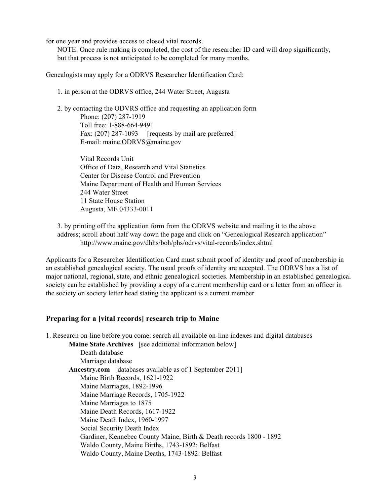for one year and provides access to closed vital records.

NOTE: Once rule making is completed, the cost of the researcher ID card will drop significantly, but that process is not anticipated to be completed for many months.

Genealogists may apply for a ODRVS Researcher Identification Card:

1. in person at the ODRVS office, 244 Water Street, Augusta

2. by contacting the ODVRS office and requesting an application form Phone: (207) 287-1919 Toll free: 1-888-664-9491 Fax: (207) 287-1093 [requests by mail are preferred] E-mail: maine.ODRVS@maine.gov

> Vital Records Unit Office of Data, Research and Vital Statistics Center for Disease Control and Prevention Maine Department of Health and Human Services 244 Water Street 11 State House Station Augusta, ME 04333-0011

3. by printing off the application form from the ODRVS website and mailing it to the above address; scroll about half way down the page and click on "Genealogical Research application" http://www.maine.gov/dhhs/boh/phs/odrvs/vital-records/index.shtml

Applicants for a Researcher Identification Card must submit proof of identity and proof of membership in an established genealogical society. The usual proofs of identity are accepted. The ODRVS has a list of major national, regional, state, and ethnic genealogical societies. Membership in an established genealogical society can be established by providing a copy of a current membership card or a letter from an officer in the society on society letter head stating the applicant is a current member.

### **Preparing for a [vital records] research trip to Maine**

1. Research on-line before you come: search all available on-line indexes and digital databases

**Maine State Archives** [see additional information below] Death database Marriage database **Ancestry.com** [databases available as of 1 September 2011] Maine Birth Records, 1621-1922 Maine Marriages, 1892-1996 Maine Marriage Records, 1705-1922 Maine Marriages to 1875 Maine Death Records, 1617-1922 Maine Death Index, 1960-1997 Social Security Death Index Gardiner, Kennebec County Maine, Birth & Death records 1800 - 1892 Waldo County, Maine Births, 1743-1892: Belfast Waldo County, Maine Deaths, 1743-1892: Belfast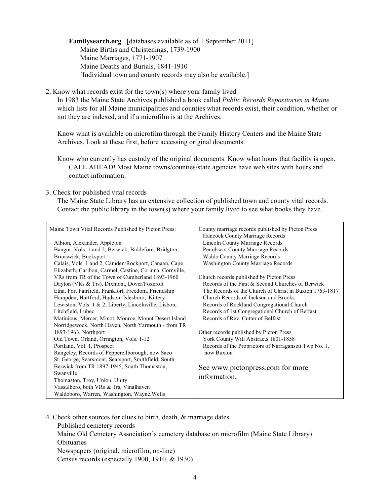**Familysearch.org** [databases available as of 1 September 2011] Maine Births and Christenings, 1739-1900 Maine Marriages, 1771-1907 Maine Deaths and Burials, 1841-1910 [Individual town and county records may also be available.]

2. Know what records exist for the town(s) where your family lived.

In 1983 the Maine State Archives published a book called *Public Records Repositories in Maine* which lists for all Maine municipalities and counties what records exist, their condition, whether or not they are indexed, and if a microfilm is at the Archives.

Know what is available on microfilm through the Family History Centers and the Maine State Archives. Look at these first, before accessing original documents.

Know who currently has custody of the original documents. Know what hours that facility is open. CALL AHEAD! Most Maine towns/counties/state agencies have web sites with hours and contact information.

#### 3. Check for published vital records

The Maine State Library has an extensive collection of published town and county vital records. Contact the public library in the town(s) where your family lived to see what books they have.

| Elizabeth, Caribou, Carmel, Castine, Corinna, Cornville,<br>VRs from TR of the Town of Cumberland 1893-1960<br>Church records published by Picton Press<br>Records of the First & Second Churches of Berwick<br>Dayton (VRs & Trs), Dixmont, Dover/Foxcroft<br>Etna, Fort Fairfield, Frankfort, Freedom, Friendship<br>Hampden, Hartford, Hudson, Islesboro, Kittery<br>Church Records of Jackson and Brooks<br>Lewiston, Vols. 1 & 2, Liberty, Lincolnville, Lisbon,<br>Records of Rockland Congregational Church<br>Records of 1st Congregational Church of Belfast<br>Litchfield, Lubec<br>Records of Rev. Cutter of Belfast<br>Matinicus, Mercer, Minot, Monroe, Mount Desert Island<br>Norridgewock, North Haven, North Yarmouth - from TR<br>1893-1963, Northport<br>Other records published by Picton Press<br>Old Town, Orland, Orrington, Vols. 1-12<br>York County Will Abstracts 1801-1858<br>Records of the Proprietors of Narragansett Twp No. 1,<br>Portland, Vol. 1, Prospect<br>Rangeley, Records of Pepperellborough, now Saco<br>now Buxton<br>St. George, Searsmont, Searsport, Smithfield, South<br>Berwick from TR 1897-1945, South Thomaston,<br>See www.pictonpress.com for more<br>Swanville<br>information.<br>Thomaston, Troy, Union, Unity<br>Vassalboro, both VRs & Trs, Vinalhaven<br>Waldoboro, Warren, Washington, Wayne, Wells | Maine Town Vital Records Published by Picton Press:<br>Albion, Alexander, Appleton<br>Bangor, Vols. 1 and 2, Berwick, Biddeford, Bridgton,<br>Brunswick, Bucksport<br>Calais, Vols. 1 and 2, Camden/Rockport, Canaan, Cape | County marriage records published by Picton Press<br>Hancock County Marriage Records<br>Lincoln County Marriage Records<br>Penobscot County Marriage Records<br>Waldo County Marriage Records<br><b>Washington County Marriage Records</b><br>The Records of the Church of Christ in Buxton 1763-1817 |
|----------------------------------------------------------------------------------------------------------------------------------------------------------------------------------------------------------------------------------------------------------------------------------------------------------------------------------------------------------------------------------------------------------------------------------------------------------------------------------------------------------------------------------------------------------------------------------------------------------------------------------------------------------------------------------------------------------------------------------------------------------------------------------------------------------------------------------------------------------------------------------------------------------------------------------------------------------------------------------------------------------------------------------------------------------------------------------------------------------------------------------------------------------------------------------------------------------------------------------------------------------------------------------------------------------------------------------------------------------------|----------------------------------------------------------------------------------------------------------------------------------------------------------------------------------------------------------------------------|-------------------------------------------------------------------------------------------------------------------------------------------------------------------------------------------------------------------------------------------------------------------------------------------------------|
|----------------------------------------------------------------------------------------------------------------------------------------------------------------------------------------------------------------------------------------------------------------------------------------------------------------------------------------------------------------------------------------------------------------------------------------------------------------------------------------------------------------------------------------------------------------------------------------------------------------------------------------------------------------------------------------------------------------------------------------------------------------------------------------------------------------------------------------------------------------------------------------------------------------------------------------------------------------------------------------------------------------------------------------------------------------------------------------------------------------------------------------------------------------------------------------------------------------------------------------------------------------------------------------------------------------------------------------------------------------|----------------------------------------------------------------------------------------------------------------------------------------------------------------------------------------------------------------------------|-------------------------------------------------------------------------------------------------------------------------------------------------------------------------------------------------------------------------------------------------------------------------------------------------------|

4. Check other sources for clues to birth, death, & marriage dates Published cemetery records Maine Old Cemetery Association's cemetery database on microfilm (Maine State Library) Obituaries Newspapers (original, microfilm, on-line) Census records (especially 1900, 1910, & 1930)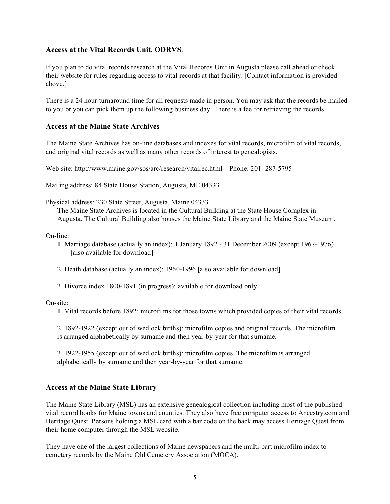## **Access at the Vital Records Unit, ODRVS**.

If you plan to do vital records research at the Vital Records Unit in Augusta please call ahead or check their website for rules regarding access to vital records at that facility. [Contact information is provided above.]

There is a 24 hour turnaround time for all requests made in person. You may ask that the records be mailed to you or you can pick them up the following business day. There is a fee for retrieving the records.

## **Access at the Maine State Archives**

The Maine State Archives has on-line databases and indexes for vital records, microfilm of vital records, and original vital records as well as many other records of interest to genealogists.

Web site: http://www.maine.gov/sos/arc/research/vitalrec.html Phone: 201- 287-5795

Mailing address: 84 State House Station, Augusta, ME 04333

Physical address: 230 State Street, Augusta, Maine 04333

The Maine State Archives is located in the Cultural Building at the State House Complex in Augusta. The Cultural Building also houses the Maine State Library and the Maine State Museum.

On-line:

- 1. Marriage database (actually an index): 1 January 1892 31 December 2009 (except 1967-1976) [also available for download]
- 2. Death database (actually an index): 1960-1996 [also available for download]
- 3. Divorce index 1800-1891 (in progress): available for download only

On-site:

1. Vital records before 1892: microfilms for those towns which provided copies of their vital records

2. 1892-1922 (except out of wedlock births): microfilm copies and original records. The microfilm is arranged alphabetically by surname and then year-by-year for that surname.

3. 1922-1955 (except out of wedlock births): microfilm copies. The microfilm is arranged alphabetically by surname and then year-by-year for that surname.

### **Access at the Maine State Library**

The Maine State Library (MSL) has an extensive genealogical collection including most of the published vital record books for Maine towns and counties. They also have free computer access to Ancestry.com and Heritage Quest. Persons holding a MSL card with a bar code on the back may access Heritage Quest from their home computer through the MSL website.

They have one of the largest collections of Maine newspapers and the multi-part microfilm index to cemetery records by the Maine Old Cemetery Association (MOCA).